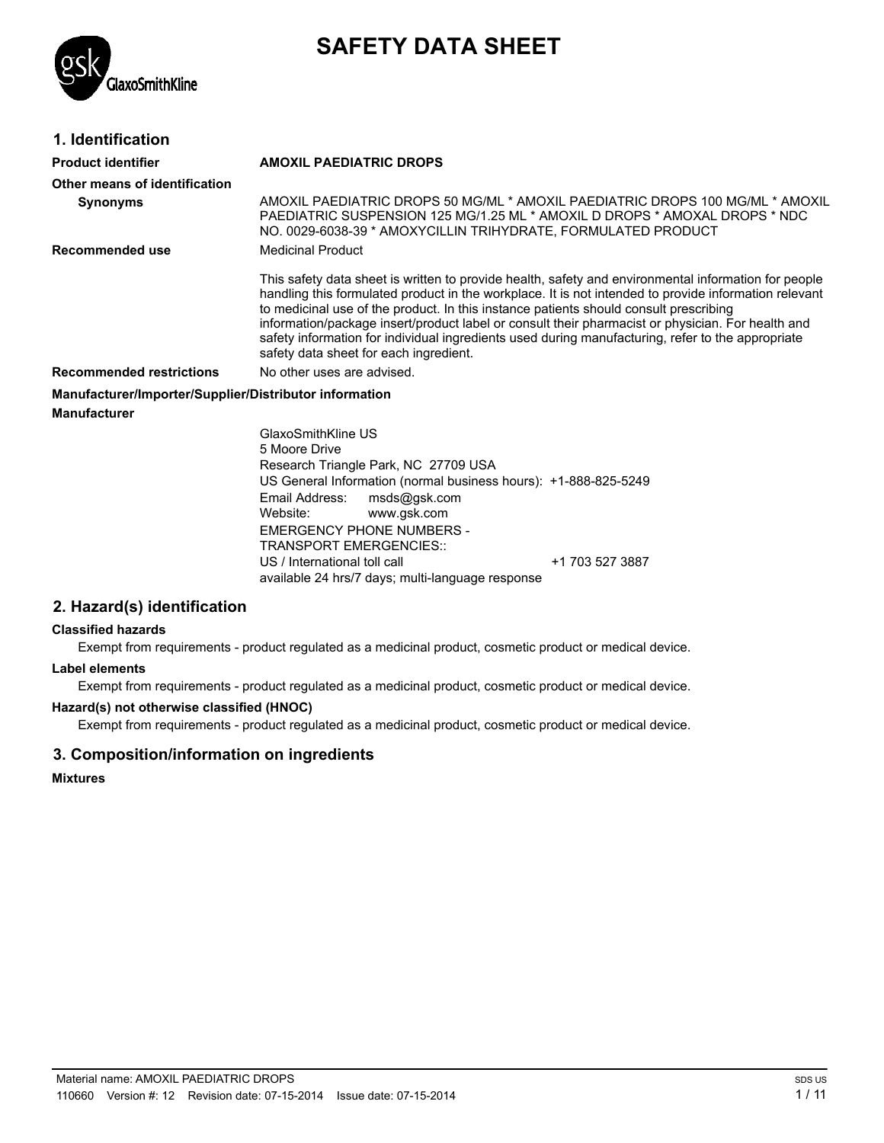

# **SAFETY DATA SHEET**

## **1. Identification**

| Product identifier                                     | <b>AMOXIL PAEDIATRIC DROPS</b>                                                                                                                                                                                                                                                                                                                                                                                                                                                                                                                             |
|--------------------------------------------------------|------------------------------------------------------------------------------------------------------------------------------------------------------------------------------------------------------------------------------------------------------------------------------------------------------------------------------------------------------------------------------------------------------------------------------------------------------------------------------------------------------------------------------------------------------------|
| Other means of identification                          |                                                                                                                                                                                                                                                                                                                                                                                                                                                                                                                                                            |
| <b>Synonyms</b>                                        | AMOXIL PAEDIATRIC DROPS 50 MG/ML * AMOXIL PAEDIATRIC DROPS 100 MG/ML * AMOXIL<br>PAEDIATRIC SUSPENSION 125 MG/1.25 ML * AMOXIL D DROPS * AMOXAL DROPS * NDC<br>NO. 0029-6038-39 * AMOXYCILLIN TRIHYDRATE, FORMULATED PRODUCT                                                                                                                                                                                                                                                                                                                               |
| Recommended use                                        | <b>Medicinal Product</b>                                                                                                                                                                                                                                                                                                                                                                                                                                                                                                                                   |
|                                                        | This safety data sheet is written to provide health, safety and environmental information for people<br>handling this formulated product in the workplace. It is not intended to provide information relevant<br>to medicinal use of the product. In this instance patients should consult prescribing<br>information/package insert/product label or consult their pharmacist or physician. For health and<br>safety information for individual ingredients used during manufacturing, refer to the appropriate<br>safety data sheet for each ingredient. |
| <b>Recommended restrictions</b>                        | No other uses are advised.                                                                                                                                                                                                                                                                                                                                                                                                                                                                                                                                 |
| Manufacturer/Importer/Supplier/Distributor information |                                                                                                                                                                                                                                                                                                                                                                                                                                                                                                                                                            |
| Manufacturer                                           |                                                                                                                                                                                                                                                                                                                                                                                                                                                                                                                                                            |
|                                                        | GlaxoSmithKline US                                                                                                                                                                                                                                                                                                                                                                                                                                                                                                                                         |
|                                                        | 5 Moore Drive                                                                                                                                                                                                                                                                                                                                                                                                                                                                                                                                              |
|                                                        | Research Triangle Park, NC 27709 USA                                                                                                                                                                                                                                                                                                                                                                                                                                                                                                                       |
|                                                        | US General Information (normal business hours): +1-888-825-5249                                                                                                                                                                                                                                                                                                                                                                                                                                                                                            |

US General Information (normal business hours): +1-888-825-5249 Email Address: msds@gsk.com Website: www.gsk.com EMERGENCY PHONE NUMBERS - TRANSPORT EMERGENCIES:: US / International toll call +1 703 527 3887 available 24 hrs/7 days; multi-language response

## **2. Hazard(s) identification**

#### **Classified hazards**

Exempt from requirements - product regulated as a medicinal product, cosmetic product or medical device.

#### **Label elements**

Exempt from requirements - product regulated as a medicinal product, cosmetic product or medical device.

#### **Hazard(s) not otherwise classified (HNOC)**

Exempt from requirements - product regulated as a medicinal product, cosmetic product or medical device.

## **3. Composition/information on ingredients**

#### **Mixtures**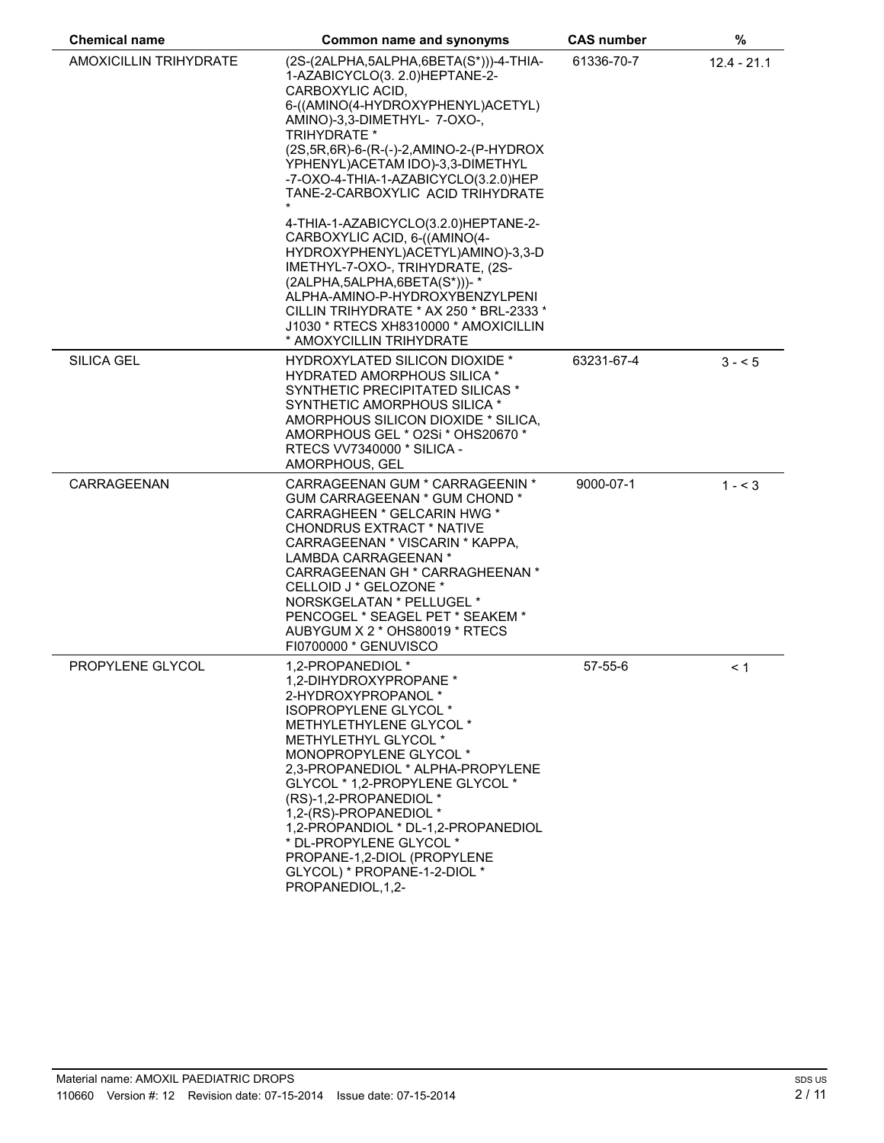| <b>Chemical name</b>          | Common name and synonyms                                                                                                                                                                                                                                                                                                                                                                                                                                    | <b>CAS number</b> | %             |  |
|-------------------------------|-------------------------------------------------------------------------------------------------------------------------------------------------------------------------------------------------------------------------------------------------------------------------------------------------------------------------------------------------------------------------------------------------------------------------------------------------------------|-------------------|---------------|--|
| <b>AMOXICILLIN TRIHYDRATE</b> | (2S-(2ALPHA,5ALPHA,6BETA(S*)))-4-THIA-<br>1-AZABICYCLO(3. 2.0)HEPTANE-2-<br>CARBOXYLIC ACID,<br>6-((AMINO(4-HYDROXYPHENYL)ACETYL)<br>AMINO)-3,3-DIMETHYL-7-OXO-,<br><b>TRIHYDRATE *</b><br>(2S, 5R, 6R)-6-(R-(-)-2, AMINO-2-(P-HYDROX<br>YPHENYL) ACETAM IDO)-3,3-DIMETHYL<br>-7-OXO-4-THIA-1-AZABICYCLO(3.2.0)HEP<br>TANE-2-CARBOXYLIC ACID TRIHYDRATE                                                                                                     | 61336-70-7        | $12.4 - 21.1$ |  |
|                               | 4-THIA-1-AZABICYCLO(3.2.0)HEPTANE-2-<br>CARBOXYLIC ACID, 6-((AMINO(4-<br>HYDROXYPHENYL)ACETYL)AMINO)-3,3-D<br>IMETHYL-7-OXO-, TRIHYDRATE, (2S-<br>$(2ALPHA, 5ALPHA, 6BETA(S^*)))$ - *<br>ALPHA-AMINO-P-HYDROXYBENZYLPENI<br>CILLIN TRIHYDRATE * AX 250 * BRL-2333 *<br>J1030 * RTECS XH8310000 * AMOXICILLIN<br>* AMOXYCILLIN TRIHYDRATE                                                                                                                    |                   |               |  |
| <b>SILICA GEL</b>             | <b>HYDROXYLATED SILICON DIOXIDE *</b><br><b>HYDRATED AMORPHOUS SILICA *</b><br>SYNTHETIC PRECIPITATED SILICAS *<br>SYNTHETIC AMORPHOUS SILICA *<br>AMORPHOUS SILICON DIOXIDE * SILICA,<br>AMORPHOUS GEL * O2Si * OHS20670 *<br><b>RTECS VV7340000 * SILICA -</b><br>AMORPHOUS, GEL                                                                                                                                                                          | 63231-67-4        | $3 - 5$       |  |
| CARRAGEENAN                   | CARRAGEENAN GUM * CARRAGEENIN *<br>GUM CARRAGEENAN * GUM CHOND *<br>CARRAGHEEN * GELCARIN HWG *<br><b>CHONDRUS EXTRACT * NATIVE</b><br>CARRAGEENAN * VISCARIN * KAPPA,<br>LAMBDA CARRAGEENAN *<br>CARRAGEENAN GH * CARRAGHEENAN *<br>CELLOID J * GELOZONE *<br>NORSKGELATAN * PELLUGEL *<br>PENCOGEL * SEAGEL PET * SEAKEM *<br>AUBYGUM X 2 * OHS80019 * RTECS<br>FI0700000 * GENUVISCO                                                                     | 9000-07-1         | $1 - 3$       |  |
| <b>PROPYLENE GLYCOL</b>       | 1.2-PROPANEDIOL *<br>1,2-DIHYDROXYPROPANE *<br>2-HYDROXYPROPANOL *<br>ISOPROPYLENE GLYCOL *<br>METHYLETHYLENE GLYCOL *<br>METHYLETHYL GLYCOL *<br>MONOPROPYLENE GLYCOL *<br>2,3-PROPANEDIOL * ALPHA-PROPYLENE<br>GLYCOL * 1,2-PROPYLENE GLYCOL *<br>(RS)-1,2-PROPANEDIOL *<br>1,2-(RS)-PROPANEDIOL *<br>1,2-PROPANDIOL * DL-1,2-PROPANEDIOL<br>* DL-PROPYLENE GLYCOL *<br>PROPANE-1,2-DIOL (PROPYLENE<br>GLYCOL) * PROPANE-1-2-DIOL *<br>PROPANEDIOL, 1, 2- | $57-55-6$         | < 1           |  |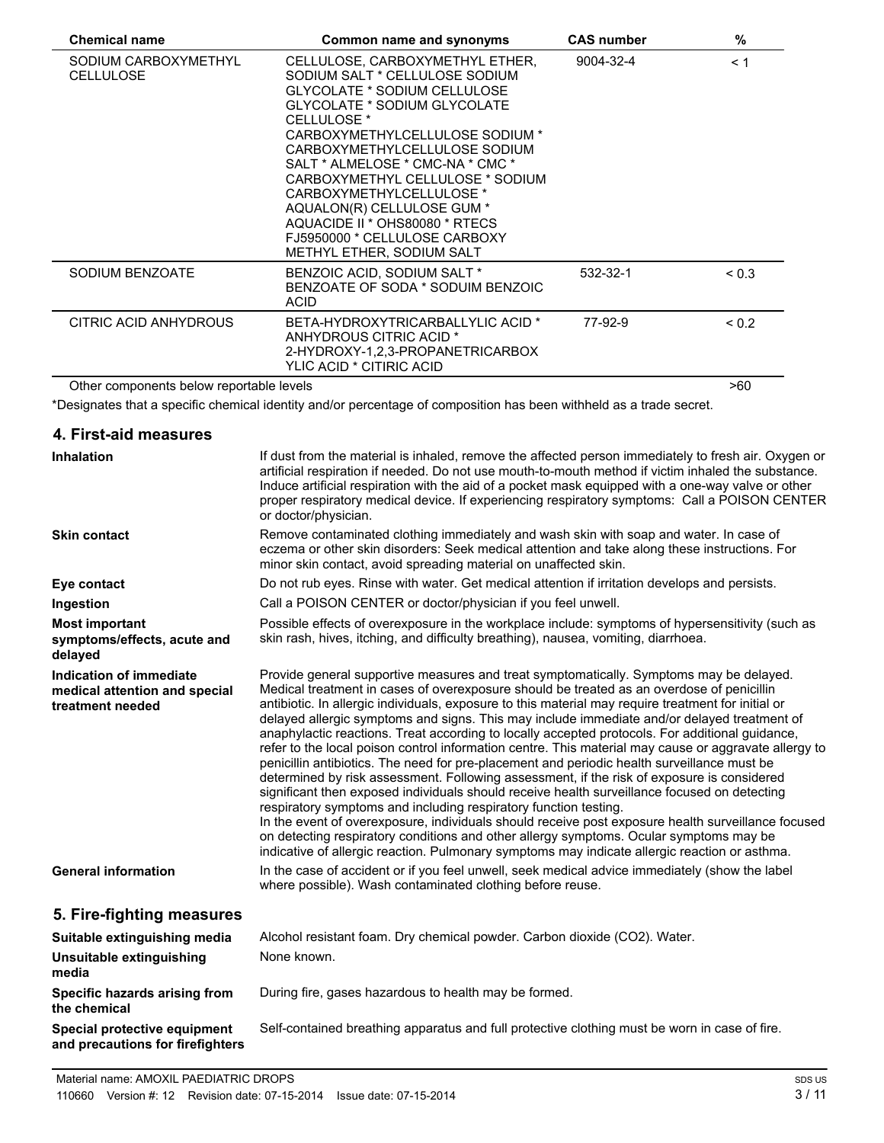| <b>Chemical name</b>                     | Common name and synonyms                                                                                                                                                                                                                                                                                                                                                                                                                                          | <b>CAS number</b> | $\%$       |  |
|------------------------------------------|-------------------------------------------------------------------------------------------------------------------------------------------------------------------------------------------------------------------------------------------------------------------------------------------------------------------------------------------------------------------------------------------------------------------------------------------------------------------|-------------------|------------|--|
| SODIUM CARBOXYMETHYL<br><b>CELLULOSE</b> | CELLULOSE, CARBOXYMETHYL ETHER,<br>SODIUM SALT * CELLULOSE SODIUM<br>GLYCOLATE * SODIUM CELLULOSE<br>GLYCOLATE * SODIUM GLYCOLATE<br>CELLULOSE <sup>*</sup><br>CARBOXYMETHYLCELLULOSE SODIUM *<br>CARBOXYMETHYLCELLULOSE SODIUM<br>SALT * ALMELOSE * CMC-NA * CMC *<br>CARBOXYMETHYL CELLULOSE * SODIUM<br>CARBOXYMETHYLCELLULOSE *<br>AQUALON(R) CELLULOSE GUM *<br>AQUACIDE II * OHS80080 * RTECS<br>FJ5950000 * CELLULOSE CARBOXY<br>METHYL ETHER, SODIUM SALT | 9004-32-4         | < 1        |  |
| SODIUM BENZOATE                          | BENZOIC ACID, SODIUM SALT *<br>BENZOATE OF SODA * SODUIM BENZOIC<br><b>ACID</b>                                                                                                                                                                                                                                                                                                                                                                                   | 532-32-1          | < 0.3      |  |
| CITRIC ACID ANHYDROUS                    | BETA-HYDROXYTRICARBALLYLIC ACID *<br>ANHYDROUS CITRIC ACID *<br>2-HYDROXY-1,2,3-PROPANETRICARBOX<br>YLIC ACID * CITIRIC ACID                                                                                                                                                                                                                                                                                                                                      | 77-92-9           | ${}_{0.2}$ |  |
| Other components below reportable levels |                                                                                                                                                                                                                                                                                                                                                                                                                                                                   |                   | >60        |  |

\*Designates that a specific chemical identity and/or percentage of composition has been withheld as a trade secret.

#### **4. First-aid measures Inhalation** If dust from the material is inhaled, remove the affected person immediately to fresh air. Oxygen or artificial respiration if needed. Do not use mouth-to-mouth method if victim inhaled the substance. Induce artificial respiration with the aid of a pocket mask equipped with a one-way valve or other proper respiratory medical device. If experiencing respiratory symptoms: Call a POISON CENTER or doctor/physician. **Skin contact** Remove contaminated clothing immediately and wash skin with soap and water. In case of eczema or other skin disorders: Seek medical attention and take along these instructions. For minor skin contact, avoid spreading material on unaffected skin. **Eye contact** Do not rub eyes. Rinse with water. Get medical attention if irritation develops and persists. **Ingestion** Call a POISON CENTER or doctor/physician if you feel unwell. **Most important symptoms/effects, acute and delayed** Possible effects of overexposure in the workplace include: symptoms of hypersensitivity (such as skin rash, hives, itching, and difficulty breathing), nausea, vomiting, diarrhoea. **Indication of immediate medical attention and special treatment needed** Provide general supportive measures and treat symptomatically. Symptoms may be delayed. Medical treatment in cases of overexposure should be treated as an overdose of penicillin antibiotic. In allergic individuals, exposure to this material may require treatment for initial or delayed allergic symptoms and signs. This may include immediate and/or delayed treatment of anaphylactic reactions. Treat according to locally accepted protocols. For additional guidance, refer to the local poison control information centre. This material may cause or aggravate allergy to penicillin antibiotics. The need for pre-placement and periodic health surveillance must be determined by risk assessment. Following assessment, if the risk of exposure is considered significant then exposed individuals should receive health surveillance focused on detecting respiratory symptoms and including respiratory function testing. In the event of overexposure, individuals should receive post exposure health surveillance focused on detecting respiratory conditions and other allergy symptoms. Ocular symptoms may be indicative of allergic reaction. Pulmonary symptoms may indicate allergic reaction or asthma. General information **In the case of accident or if you feel unwell, seek medical advice immediately (show the label** where possible). Wash contaminated clothing before reuse. **5. Fire-fighting measures Suitable extinguishing media** Alcohol resistant foam. Dry chemical powder. Carbon dioxide (CO2). Water. **Unsuitable extinguishing media** None known. **Specific hazards arising from the chemical** During fire, gases hazardous to health may be formed. **Special protective equipment and precautions for firefighters** Self-contained breathing apparatus and full protective clothing must be worn in case of fire.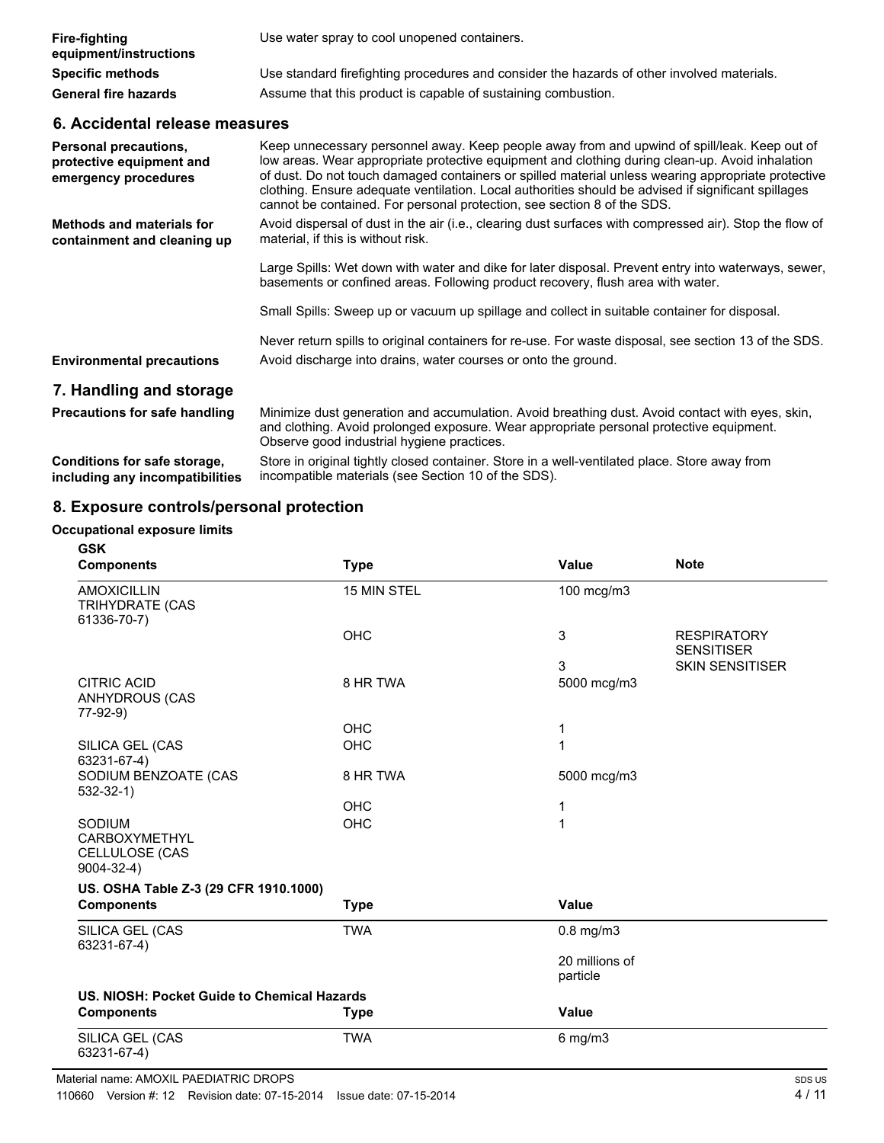| <b>Fire-fighting</b><br>equipment/instructions | Use water spray to cool unopened containers.                                               |
|------------------------------------------------|--------------------------------------------------------------------------------------------|
| <b>Specific methods</b>                        | Use standard firefighting procedures and consider the hazards of other involved materials. |
| <b>General fire hazards</b>                    | Assume that this product is capable of sustaining combustion.                              |

## **6. Accidental release measures**

| <b>Personal precautions,</b><br>protective equipment and<br>emergency procedures | Keep unnecessary personnel away. Keep people away from and upwind of spill/leak. Keep out of<br>low areas. Wear appropriate protective equipment and clothing during clean-up. Avoid inhalation<br>of dust. Do not touch damaged containers or spilled material unless wearing appropriate protective<br>clothing. Ensure adequate ventilation. Local authorities should be advised if significant spillages<br>cannot be contained. For personal protection, see section 8 of the SDS. |
|----------------------------------------------------------------------------------|-----------------------------------------------------------------------------------------------------------------------------------------------------------------------------------------------------------------------------------------------------------------------------------------------------------------------------------------------------------------------------------------------------------------------------------------------------------------------------------------|
| <b>Methods and materials for</b><br>containment and cleaning up                  | Avoid dispersal of dust in the air (i.e., clearing dust surfaces with compressed air). Stop the flow of<br>material, if this is without risk.                                                                                                                                                                                                                                                                                                                                           |
|                                                                                  | Large Spills: Wet down with water and dike for later disposal. Prevent entry into waterways, sewer,<br>basements or confined areas. Following product recovery, flush area with water.                                                                                                                                                                                                                                                                                                  |
|                                                                                  | Small Spills: Sweep up or vacuum up spillage and collect in suitable container for disposal.                                                                                                                                                                                                                                                                                                                                                                                            |
| <b>Environmental precautions</b>                                                 | Never return spills to original containers for re-use. For waste disposal, see section 13 of the SDS.<br>Avoid discharge into drains, water courses or onto the ground.                                                                                                                                                                                                                                                                                                                 |
| 7. Handling and storage                                                          |                                                                                                                                                                                                                                                                                                                                                                                                                                                                                         |
| <b>Precautions for safe handling</b>                                             | Minimize dust generation and accumulation. Avoid breathing dust. Avoid contact with eyes, skin,<br>and clothing. Avoid prolonged exposure. Wear appropriate personal protective equipment.<br>Observe good industrial hygiene practices.                                                                                                                                                                                                                                                |
| Arribben frankfullen                                                             | Chara in principal tipidis planned populations. Chara in a suall scentileted plann. Chara assess from                                                                                                                                                                                                                                                                                                                                                                                   |

**Conditions for safe storage, including any incompatibilities** Store in original tightly closed container. Store in a well-ventilated place. Store away from incompatible materials (see Section 10 of the SDS).

# **8. Exposure controls/personal protection**

#### **Occupational exposure limits**

| <b>GSK</b>                                                            |             |                            |                                         |
|-----------------------------------------------------------------------|-------------|----------------------------|-----------------------------------------|
| <b>Components</b>                                                     | <b>Type</b> | Value                      | <b>Note</b>                             |
| <b>AMOXICILLIN</b><br><b>TRIHYDRATE (CAS</b><br>61336-70-7)           | 15 MIN STEL | 100 mcg/m3                 |                                         |
|                                                                       | OHC         | 3                          | <b>RESPIRATORY</b><br><b>SENSITISER</b> |
|                                                                       |             | 3                          | <b>SKIN SENSITISER</b>                  |
| <b>CITRIC ACID</b><br>ANHYDROUS (CAS<br>77-92-9)                      | 8 HR TWA    | 5000 mcg/m3                |                                         |
|                                                                       | OHC         | 1                          |                                         |
| SILICA GEL (CAS<br>63231-67-4)                                        | OHC         | 1                          |                                         |
| SODIUM BENZOATE (CAS<br>$532-32-1)$                                   | 8 HR TWA    | 5000 mcg/m3                |                                         |
|                                                                       | <b>OHC</b>  | 1                          |                                         |
| SODIUM<br><b>CARBOXYMETHYL</b><br>CELLULOSE (CAS<br>$9004 - 32 - 4$ ) | OHC         | 1                          |                                         |
| US. OSHA Table Z-3 (29 CFR 1910.1000)                                 |             |                            |                                         |
| <b>Components</b>                                                     | <b>Type</b> | <b>Value</b>               |                                         |
| SILICA GEL (CAS<br>63231-67-4)                                        | <b>TWA</b>  | $0.8$ mg/m $3$             |                                         |
|                                                                       |             | 20 millions of<br>particle |                                         |
| US. NIOSH: Pocket Guide to Chemical Hazards                           |             |                            |                                         |
| <b>Components</b>                                                     | <b>Type</b> | <b>Value</b>               |                                         |
| SILICA GEL (CAS<br>63231-67-4)                                        | <b>TWA</b>  | $6$ mg/m $3$               |                                         |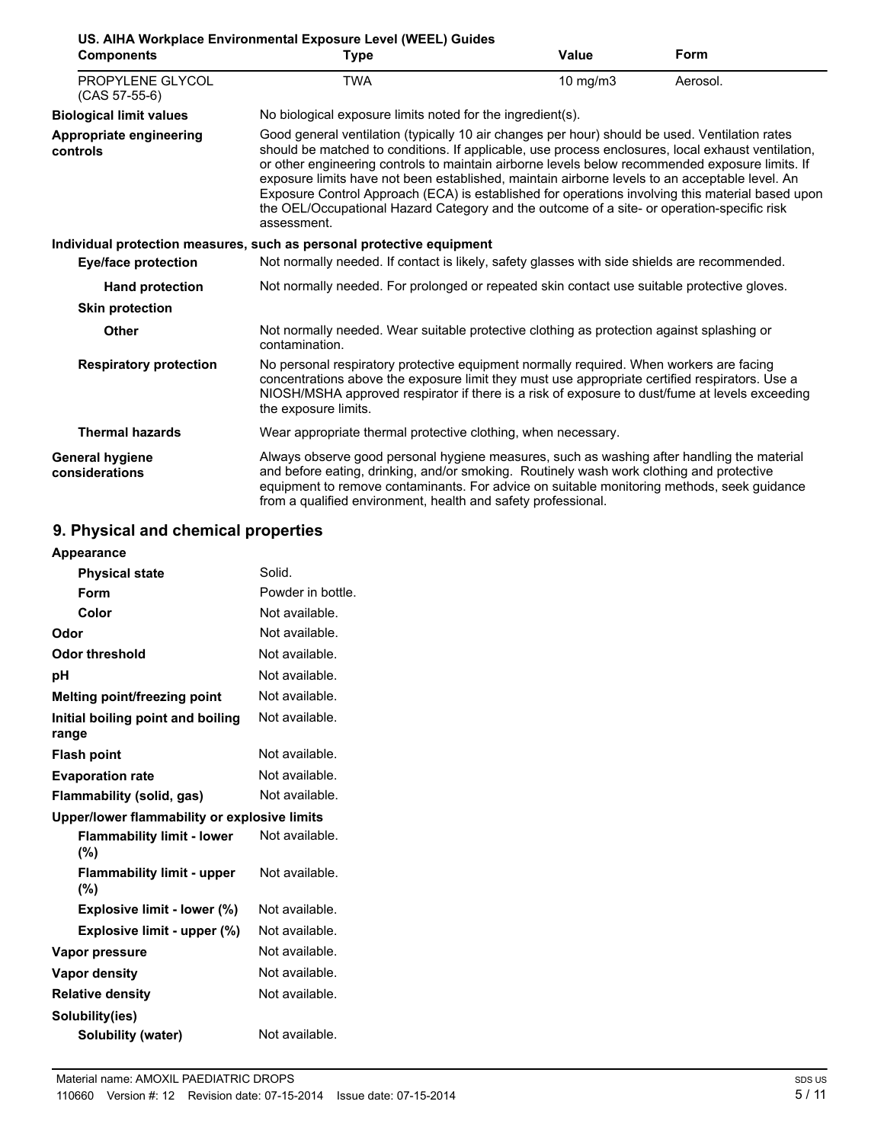| <b>Components</b>                        | <b>Type</b>                                                                                                                                                                                                                                                                                                                                                                                                                                                                                                                                                                                                                | Value         | Form     |
|------------------------------------------|----------------------------------------------------------------------------------------------------------------------------------------------------------------------------------------------------------------------------------------------------------------------------------------------------------------------------------------------------------------------------------------------------------------------------------------------------------------------------------------------------------------------------------------------------------------------------------------------------------------------------|---------------|----------|
| PROPYLENE GLYCOL<br>$(CAS 57-55-6)$      | TWA                                                                                                                                                                                                                                                                                                                                                                                                                                                                                                                                                                                                                        | $10$ mg/m $3$ | Aerosol. |
| <b>Biological limit values</b>           | No biological exposure limits noted for the ingredient(s).                                                                                                                                                                                                                                                                                                                                                                                                                                                                                                                                                                 |               |          |
| Appropriate engineering<br>controls      | Good general ventilation (typically 10 air changes per hour) should be used. Ventilation rates<br>should be matched to conditions. If applicable, use process enclosures, local exhaust ventilation,<br>or other engineering controls to maintain airborne levels below recommended exposure limits. If<br>exposure limits have not been established, maintain airborne levels to an acceptable level. An<br>Exposure Control Approach (ECA) is established for operations involving this material based upon<br>the OEL/Occupational Hazard Category and the outcome of a site- or operation-specific risk<br>assessment. |               |          |
|                                          | Individual protection measures, such as personal protective equipment                                                                                                                                                                                                                                                                                                                                                                                                                                                                                                                                                      |               |          |
| <b>Eye/face protection</b>               | Not normally needed. If contact is likely, safety glasses with side shields are recommended.                                                                                                                                                                                                                                                                                                                                                                                                                                                                                                                               |               |          |
| <b>Hand protection</b>                   | Not normally needed. For prolonged or repeated skin contact use suitable protective gloves.                                                                                                                                                                                                                                                                                                                                                                                                                                                                                                                                |               |          |
| <b>Skin protection</b>                   |                                                                                                                                                                                                                                                                                                                                                                                                                                                                                                                                                                                                                            |               |          |
| Other                                    | Not normally needed. Wear suitable protective clothing as protection against splashing or<br>contamination.                                                                                                                                                                                                                                                                                                                                                                                                                                                                                                                |               |          |
| <b>Respiratory protection</b>            | No personal respiratory protective equipment normally required. When workers are facing<br>concentrations above the exposure limit they must use appropriate certified respirators. Use a<br>NIOSH/MSHA approved respirator if there is a risk of exposure to dust/fume at levels exceeding<br>the exposure limits.                                                                                                                                                                                                                                                                                                        |               |          |
| <b>Thermal hazards</b>                   | Wear appropriate thermal protective clothing, when necessary.                                                                                                                                                                                                                                                                                                                                                                                                                                                                                                                                                              |               |          |
| <b>General hygiene</b><br>considerations | Always observe good personal hygiene measures, such as washing after handling the material<br>and before eating, drinking, and/or smoking. Routinely wash work clothing and protective<br>equipment to remove contaminants. For advice on suitable monitoring methods, seek guidance<br>from a qualified environment, health and safety professional.                                                                                                                                                                                                                                                                      |               |          |

# **9. Physical and chemical properties**

| Appearance                                   |                   |
|----------------------------------------------|-------------------|
| <b>Physical state</b>                        | Solid.            |
| Form                                         | Powder in bottle. |
| Color                                        | Not available.    |
| Odor                                         | Not available.    |
| Odor threshold                               | Not available.    |
| рH                                           | Not available.    |
| Melting point/freezing point                 | Not available.    |
| Initial boiling point and boiling<br>range   | Not available.    |
| <b>Flash point</b>                           | Not available.    |
| <b>Evaporation rate</b>                      | Not available.    |
| Flammability (solid, gas)                    | Not available.    |
| Upper/lower flammability or explosive limits |                   |
| <b>Flammability limit - lower</b><br>(%)     | Not available.    |
| <b>Flammability limit - upper</b><br>(%)     | Not available.    |
| Explosive limit - lower (%)                  | Not available.    |
| Explosive limit - upper (%)                  | Not available.    |
| Vapor pressure                               | Not available.    |
| Vapor density                                | Not available.    |
| <b>Relative density</b>                      | Not available.    |
| Solubility(ies)                              |                   |
| <b>Solubility (water)</b>                    | Not available.    |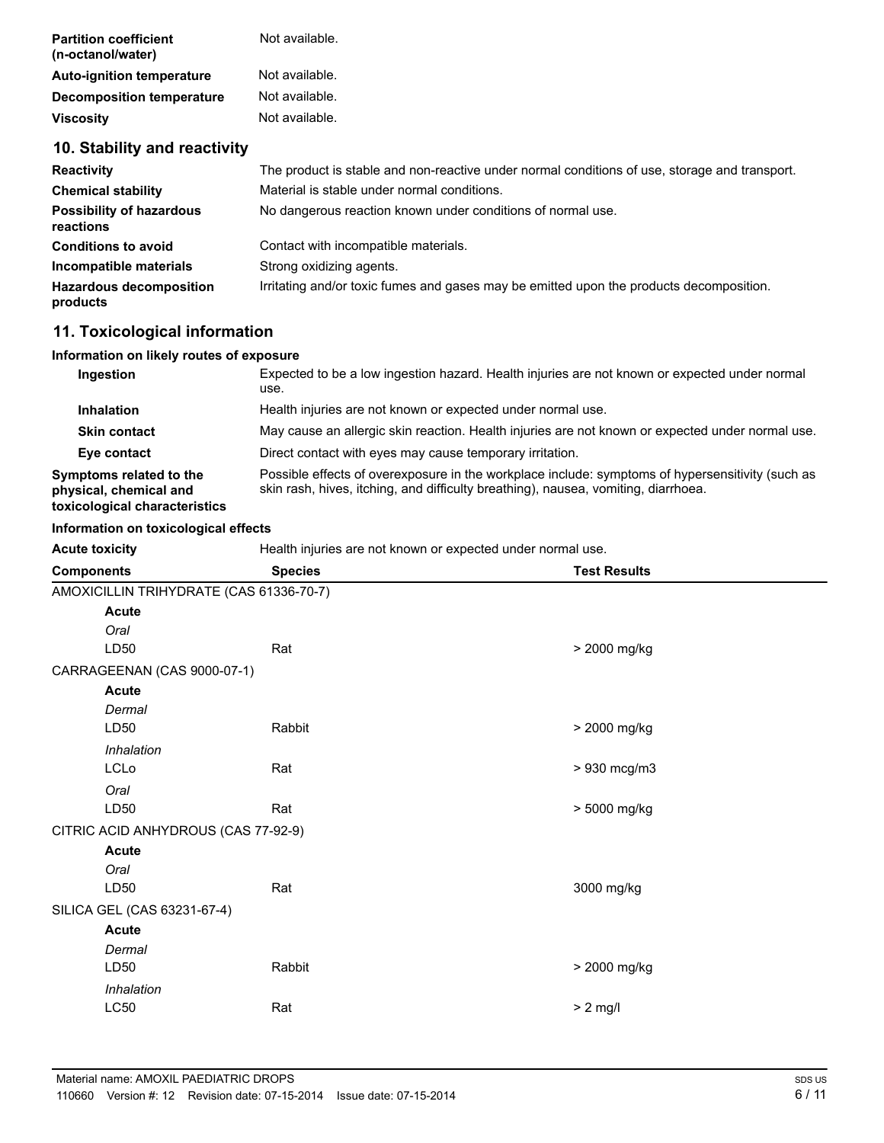| <b>Partition coefficient</b><br>(n-octanol/water) | Not available. |
|---------------------------------------------------|----------------|
| <b>Auto-ignition temperature</b>                  | Not available. |
| <b>Decomposition temperature</b>                  | Not available. |
| <b>Viscosity</b>                                  | Not available. |

## **10. Stability and reactivity**

| <b>Reactivity</b>                            | The product is stable and non-reactive under normal conditions of use, storage and transport. |  |  |
|----------------------------------------------|-----------------------------------------------------------------------------------------------|--|--|
| <b>Chemical stability</b>                    | Material is stable under normal conditions.                                                   |  |  |
| <b>Possibility of hazardous</b><br>reactions | No dangerous reaction known under conditions of normal use.                                   |  |  |
| <b>Conditions to avoid</b>                   | Contact with incompatible materials.                                                          |  |  |
| Incompatible materials                       | Strong oxidizing agents.                                                                      |  |  |
| <b>Hazardous decomposition</b><br>products   | Irritating and/or toxic fumes and gases may be emitted upon the products decomposition.       |  |  |

## **11. Toxicological information**

#### **Information on likely routes of exposure**

| Ingestion                                                                          | Expected to be a low ingestion hazard. Health injuries are not known or expected under normal<br>use.                                                                                  |
|------------------------------------------------------------------------------------|----------------------------------------------------------------------------------------------------------------------------------------------------------------------------------------|
| <b>Inhalation</b>                                                                  | Health injuries are not known or expected under normal use.                                                                                                                            |
| <b>Skin contact</b>                                                                | May cause an allergic skin reaction. Health injuries are not known or expected under normal use.                                                                                       |
| Eye contact                                                                        | Direct contact with eyes may cause temporary irritation.                                                                                                                               |
| Symptoms related to the<br>physical, chemical and<br>toxicological characteristics | Possible effects of overexposure in the workplace include: symptoms of hypersensitivity (such as<br>skin rash, hives, itching, and difficulty breathing), nausea, vomiting, diarrhoea. |

#### **Information on toxicological effects**

Acute toxicity **Acute toxicity Health injuries are not known or expected under normal use.** 

| <b>Components</b>                       | <b>Species</b> | <b>Test Results</b> |
|-----------------------------------------|----------------|---------------------|
| AMOXICILLIN TRIHYDRATE (CAS 61336-70-7) |                |                     |
| <b>Acute</b>                            |                |                     |
| Oral                                    |                |                     |
| LD50                                    | Rat            | > 2000 mg/kg        |
| CARRAGEENAN (CAS 9000-07-1)             |                |                     |
| <b>Acute</b>                            |                |                     |
| Dermal                                  |                |                     |
| LD50                                    | Rabbit         | > 2000 mg/kg        |
| Inhalation                              |                |                     |
| LCLo                                    | Rat            | > 930 mcg/m3        |
| Oral                                    |                |                     |
| LD50                                    | Rat            | > 5000 mg/kg        |
| CITRIC ACID ANHYDROUS (CAS 77-92-9)     |                |                     |
| <b>Acute</b>                            |                |                     |
| Oral                                    |                |                     |
| LD50                                    | Rat            | 3000 mg/kg          |
| SILICA GEL (CAS 63231-67-4)             |                |                     |
| Acute                                   |                |                     |
| Dermal                                  |                |                     |
| LD50                                    | Rabbit         | > 2000 mg/kg        |
| Inhalation                              |                |                     |
| LC50                                    | Rat            | $> 2$ mg/l          |
|                                         |                |                     |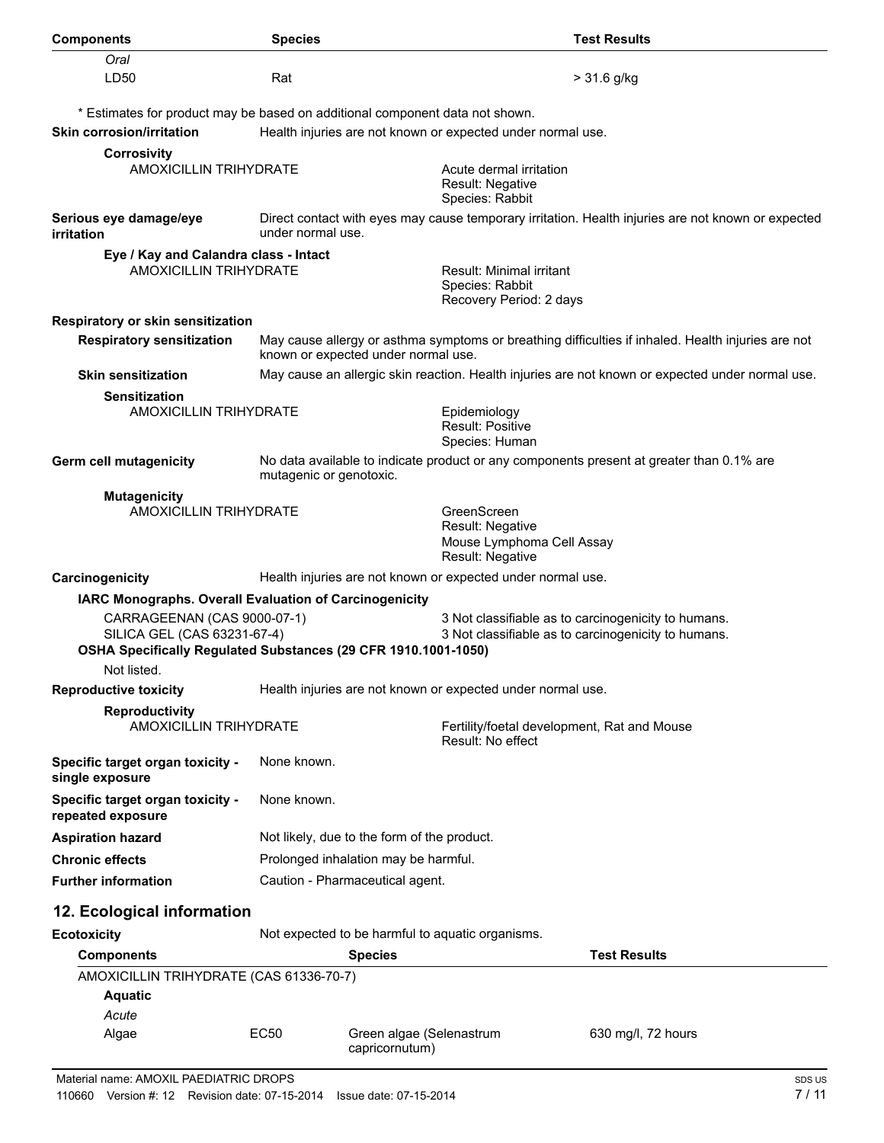| <b>Components</b>                                                                                                                             | <b>Species</b>                                                                                                                            | <b>Test Results</b>                                                                                        |  |  |  |
|-----------------------------------------------------------------------------------------------------------------------------------------------|-------------------------------------------------------------------------------------------------------------------------------------------|------------------------------------------------------------------------------------------------------------|--|--|--|
| Oral                                                                                                                                          |                                                                                                                                           |                                                                                                            |  |  |  |
| LD50                                                                                                                                          | Rat                                                                                                                                       | > 31.6 g/kg                                                                                                |  |  |  |
|                                                                                                                                               |                                                                                                                                           | * Estimates for product may be based on additional component data not shown.                               |  |  |  |
| <b>Skin corrosion/irritation</b>                                                                                                              |                                                                                                                                           | Health injuries are not known or expected under normal use.                                                |  |  |  |
| <b>Corrosivity</b>                                                                                                                            |                                                                                                                                           |                                                                                                            |  |  |  |
| <b>AMOXICILLIN TRIHYDRATE</b>                                                                                                                 |                                                                                                                                           | Acute dermal irritation<br>Result: Negative<br>Species: Rabbit                                             |  |  |  |
| Serious eye damage/eye<br><i>irritation</i>                                                                                                   | Direct contact with eyes may cause temporary irritation. Health injuries are not known or expected<br>under normal use.                   |                                                                                                            |  |  |  |
| Eye / Kay and Calandra class - Intact                                                                                                         |                                                                                                                                           |                                                                                                            |  |  |  |
| <b>AMOXICILLIN TRIHYDRATE</b>                                                                                                                 |                                                                                                                                           | Result: Minimal irritant<br>Species: Rabbit<br>Recovery Period: 2 days                                     |  |  |  |
| Respiratory or skin sensitization                                                                                                             |                                                                                                                                           |                                                                                                            |  |  |  |
| <b>Respiratory sensitization</b>                                                                                                              | May cause allergy or asthma symptoms or breathing difficulties if inhaled. Health injuries are not<br>known or expected under normal use. |                                                                                                            |  |  |  |
| <b>Skin sensitization</b>                                                                                                                     |                                                                                                                                           | May cause an allergic skin reaction. Health injuries are not known or expected under normal use.           |  |  |  |
| <b>Sensitization</b><br><b>AMOXICILLIN TRIHYDRATE</b>                                                                                         |                                                                                                                                           | Epidemiology<br>Result: Positive<br>Species: Human                                                         |  |  |  |
| Germ cell mutagenicity<br>No data available to indicate product or any components present at greater than 0.1% are<br>mutagenic or genotoxic. |                                                                                                                                           |                                                                                                            |  |  |  |
| <b>Mutagenicity</b><br><b>AMOXICILLIN TRIHYDRATE</b>                                                                                          |                                                                                                                                           | GreenScreen<br>Result: Negative<br>Mouse Lymphoma Cell Assay<br>Result: Negative                           |  |  |  |
| Carcinogenicity                                                                                                                               |                                                                                                                                           | Health injuries are not known or expected under normal use.                                                |  |  |  |
| IARC Monographs. Overall Evaluation of Carcinogenicity                                                                                        |                                                                                                                                           |                                                                                                            |  |  |  |
| CARRAGEENAN (CAS 9000-07-1)<br>SILICA GEL (CAS 63231-67-4)<br>OSHA Specifically Regulated Substances (29 CFR 1910.1001-1050)<br>Not listed.   |                                                                                                                                           | 3 Not classifiable as to carcinogenicity to humans.<br>3 Not classifiable as to carcinogenicity to humans. |  |  |  |
| <b>Reproductive toxicity</b>                                                                                                                  |                                                                                                                                           | Health injuries are not known or expected under normal use.                                                |  |  |  |
| <b>Reproductivity</b>                                                                                                                         |                                                                                                                                           |                                                                                                            |  |  |  |
| <b>AMOXICILLIN TRIHYDRATE</b>                                                                                                                 |                                                                                                                                           | Fertility/foetal development, Rat and Mouse<br>Result: No effect                                           |  |  |  |
| Specific target organ toxicity -<br>single exposure                                                                                           | None known.                                                                                                                               |                                                                                                            |  |  |  |
| Specific target organ toxicity -<br>repeated exposure                                                                                         | None known.                                                                                                                               |                                                                                                            |  |  |  |
| <b>Aspiration hazard</b>                                                                                                                      |                                                                                                                                           | Not likely, due to the form of the product.                                                                |  |  |  |
| <b>Chronic effects</b>                                                                                                                        | Prolonged inhalation may be harmful.                                                                                                      |                                                                                                            |  |  |  |
| <b>Further information</b>                                                                                                                    | Caution - Pharmaceutical agent.                                                                                                           |                                                                                                            |  |  |  |
| 12. Ecological information                                                                                                                    |                                                                                                                                           |                                                                                                            |  |  |  |
| <b>Ecotoxicity</b>                                                                                                                            |                                                                                                                                           | Not expected to be harmful to aquatic organisms.                                                           |  |  |  |
| <b>Components</b>                                                                                                                             |                                                                                                                                           | <b>Test Results</b><br><b>Species</b>                                                                      |  |  |  |
| AMOXICILLIN TRIHYDRATE (CAS 61336-70-7)                                                                                                       |                                                                                                                                           |                                                                                                            |  |  |  |
| <b>Aquatic</b>                                                                                                                                |                                                                                                                                           |                                                                                                            |  |  |  |
| Acute                                                                                                                                         |                                                                                                                                           |                                                                                                            |  |  |  |
| Algae                                                                                                                                         | EC50                                                                                                                                      | Green algae (Selenastrum<br>630 mg/l, 72 hours<br>capricornutum)                                           |  |  |  |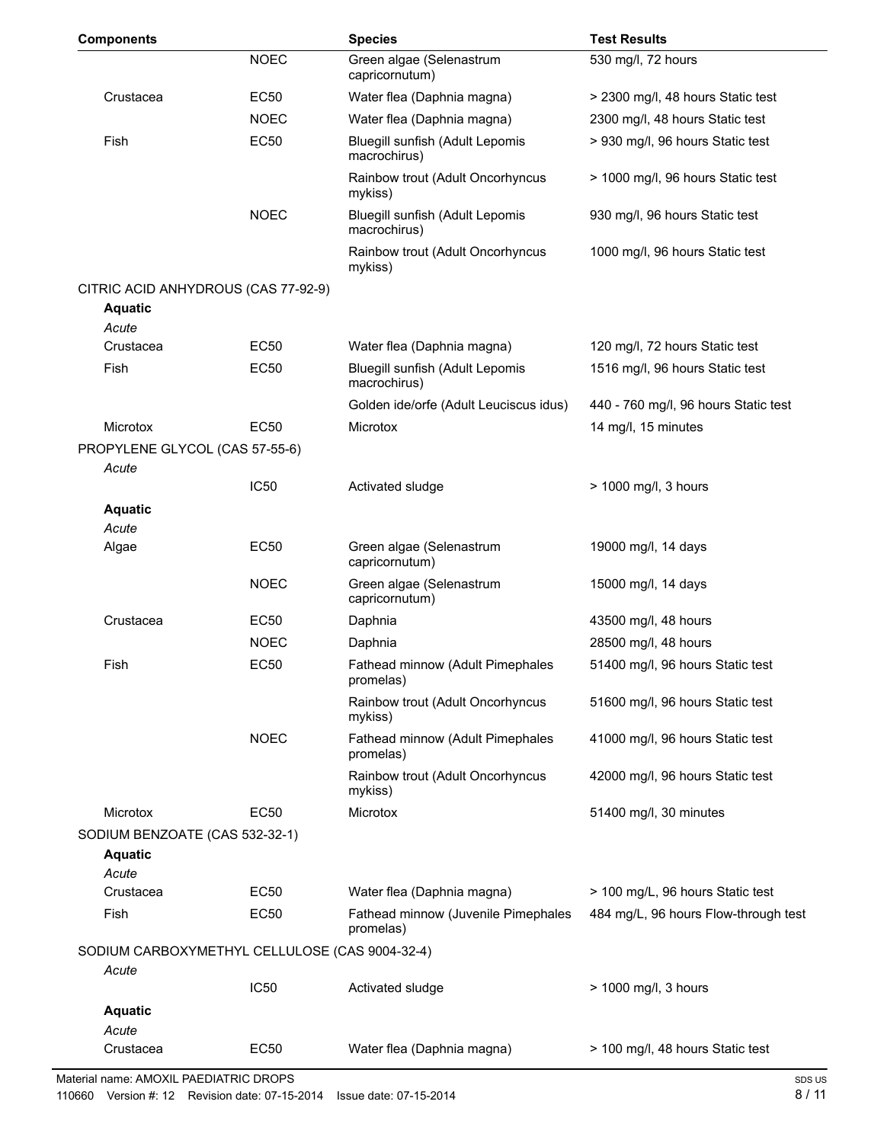| <b>Components</b>                                       |                  | <b>Species</b>                                   | <b>Test Results</b>                  |
|---------------------------------------------------------|------------------|--------------------------------------------------|--------------------------------------|
|                                                         | <b>NOEC</b>      | Green algae (Selenastrum<br>capricornutum)       | 530 mg/l, 72 hours                   |
| Crustacea                                               | EC50             | Water flea (Daphnia magna)                       | > 2300 mg/l, 48 hours Static test    |
|                                                         | <b>NOEC</b>      | Water flea (Daphnia magna)                       | 2300 mg/l, 48 hours Static test      |
| Fish                                                    | <b>EC50</b>      | Bluegill sunfish (Adult Lepomis<br>macrochirus)  | > 930 mg/l, 96 hours Static test     |
|                                                         |                  | Rainbow trout (Adult Oncorhyncus<br>mykiss)      | > 1000 mg/l, 96 hours Static test    |
|                                                         | <b>NOEC</b>      | Bluegill sunfish (Adult Lepomis<br>macrochirus)  | 930 mg/l, 96 hours Static test       |
|                                                         |                  | Rainbow trout (Adult Oncorhyncus<br>mykiss)      | 1000 mg/l, 96 hours Static test      |
| CITRIC ACID ANHYDROUS (CAS 77-92-9)                     |                  |                                                  |                                      |
| <b>Aquatic</b><br>Acute                                 |                  |                                                  |                                      |
| Crustacea                                               | <b>EC50</b>      | Water flea (Daphnia magna)                       | 120 mg/l, 72 hours Static test       |
| Fish                                                    | EC50             | Bluegill sunfish (Adult Lepomis<br>macrochirus)  | 1516 mg/l, 96 hours Static test      |
|                                                         |                  | Golden ide/orfe (Adult Leuciscus idus)           | 440 - 760 mg/l, 96 hours Static test |
| <b>Microtox</b>                                         | <b>EC50</b>      | <b>Microtox</b>                                  | 14 mg/l, 15 minutes                  |
| PROPYLENE GLYCOL (CAS 57-55-6)                          |                  |                                                  |                                      |
| Acute                                                   |                  |                                                  |                                      |
|                                                         | IC <sub>50</sub> | Activated sludge                                 | > 1000 mg/l, 3 hours                 |
| <b>Aquatic</b>                                          |                  |                                                  |                                      |
| Acute                                                   |                  |                                                  |                                      |
| Algae                                                   | <b>EC50</b>      | Green algae (Selenastrum<br>capricornutum)       | 19000 mg/l, 14 days                  |
|                                                         | <b>NOEC</b>      | Green algae (Selenastrum<br>capricornutum)       | 15000 mg/l, 14 days                  |
| Crustacea                                               | <b>EC50</b>      | Daphnia                                          | 43500 mg/l, 48 hours                 |
|                                                         | <b>NOEC</b>      | Daphnia                                          | 28500 mg/l, 48 hours                 |
| Fish                                                    | <b>EC50</b>      | Fathead minnow (Adult Pimephales<br>promelas)    | 51400 mg/l, 96 hours Static test     |
|                                                         |                  | Rainbow trout (Adult Oncorhyncus<br>mykiss)      | 51600 mg/l, 96 hours Static test     |
|                                                         | <b>NOEC</b>      | Fathead minnow (Adult Pimephales<br>promelas)    | 41000 mg/l, 96 hours Static test     |
|                                                         |                  | Rainbow trout (Adult Oncorhyncus<br>mykiss)      | 42000 mg/l, 96 hours Static test     |
| <b>Microtox</b>                                         | EC50             | Microtox                                         | 51400 mg/l, 30 minutes               |
| SODIUM BENZOATE (CAS 532-32-1)<br><b>Aquatic</b>        |                  |                                                  |                                      |
| Acute                                                   | <b>EC50</b>      |                                                  |                                      |
| Crustacea                                               |                  | Water flea (Daphnia magna)                       | > 100 mg/L, 96 hours Static test     |
| Fish                                                    | EC50             | Fathead minnow (Juvenile Pimephales<br>promelas) | 484 mg/L, 96 hours Flow-through test |
| SODIUM CARBOXYMETHYL CELLULOSE (CAS 9004-32-4)<br>Acute |                  |                                                  |                                      |
|                                                         | <b>IC50</b>      | Activated sludge                                 | > 1000 mg/l, 3 hours                 |
| <b>Aquatic</b>                                          |                  |                                                  |                                      |
| Acute                                                   |                  |                                                  |                                      |
| Crustacea                                               | EC50             | Water flea (Daphnia magna)                       | > 100 mg/l, 48 hours Static test     |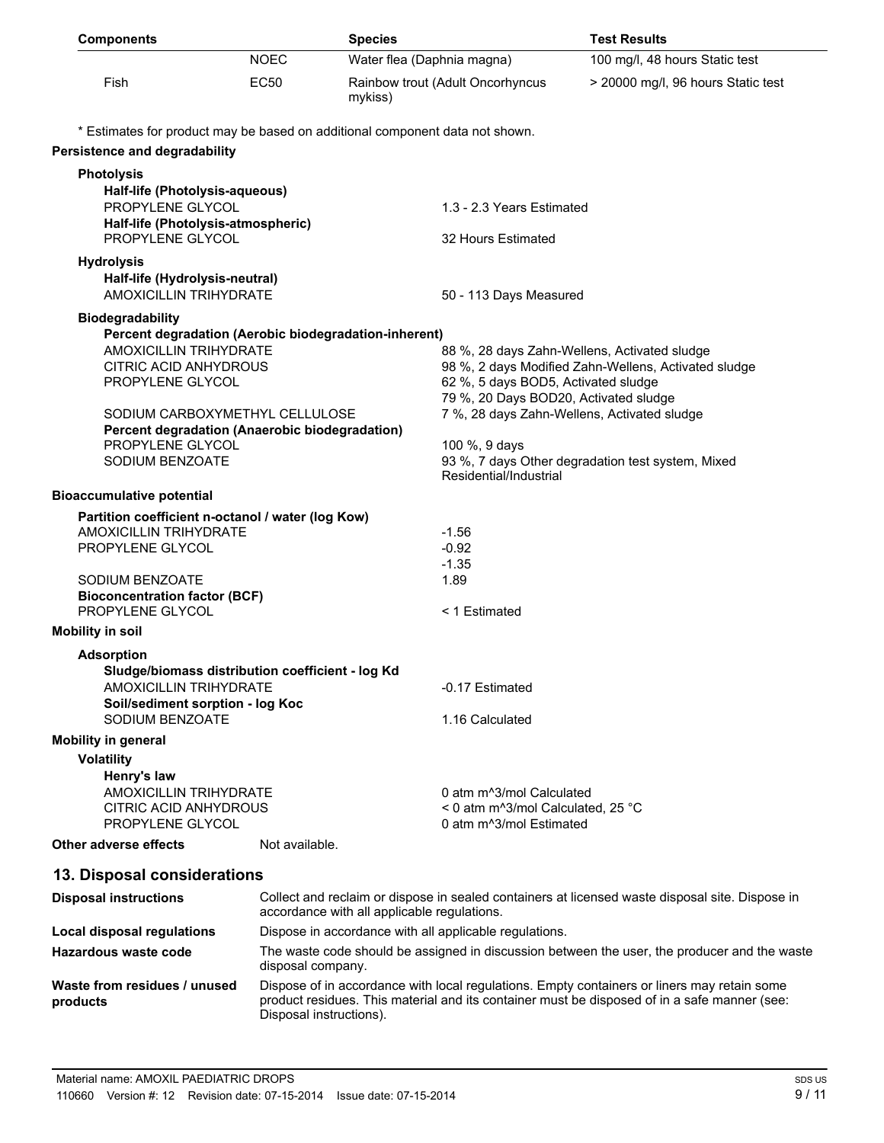| <b>Components</b>                                                                |                                                      | <b>Species</b>                              |                                                                                      | <b>Test Results</b>                                                                                                                                                                         |
|----------------------------------------------------------------------------------|------------------------------------------------------|---------------------------------------------|--------------------------------------------------------------------------------------|---------------------------------------------------------------------------------------------------------------------------------------------------------------------------------------------|
|                                                                                  | <b>NOEC</b>                                          | Water flea (Daphnia magna)                  |                                                                                      | 100 mg/l, 48 hours Static test                                                                                                                                                              |
| Fish                                                                             | <b>EC50</b>                                          | mykiss)                                     | Rainbow trout (Adult Oncorhyncus                                                     | > 20000 mg/l, 96 hours Static test                                                                                                                                                          |
| * Estimates for product may be based on additional component data not shown.     |                                                      |                                             |                                                                                      |                                                                                                                                                                                             |
| Persistence and degradability                                                    |                                                      |                                             |                                                                                      |                                                                                                                                                                                             |
| <b>Photolysis</b>                                                                |                                                      |                                             |                                                                                      |                                                                                                                                                                                             |
| Half-life (Photolysis-aqueous)<br>PROPYLENE GLYCOL                               |                                                      |                                             | 1.3 - 2.3 Years Estimated                                                            |                                                                                                                                                                                             |
| Half-life (Photolysis-atmospheric)<br>PROPYLENE GLYCOL                           |                                                      |                                             | 32 Hours Estimated                                                                   |                                                                                                                                                                                             |
| <b>Hydrolysis</b><br>Half-life (Hydrolysis-neutral)<br>AMOXICILLIN TRIHYDRATE    |                                                      |                                             | 50 - 113 Days Measured                                                               |                                                                                                                                                                                             |
|                                                                                  |                                                      |                                             |                                                                                      |                                                                                                                                                                                             |
| <b>Biodegradability</b><br>Percent degradation (Aerobic biodegradation-inherent) |                                                      |                                             |                                                                                      |                                                                                                                                                                                             |
| <b>AMOXICILLIN TRIHYDRATE</b>                                                    |                                                      |                                             | 88 %, 28 days Zahn-Wellens, Activated sludge                                         |                                                                                                                                                                                             |
| <b>CITRIC ACID ANHYDROUS</b>                                                     | 98 %, 2 days Modified Zahn-Wellens, Activated sludge |                                             |                                                                                      |                                                                                                                                                                                             |
| PROPYLENE GLYCOL                                                                 |                                                      |                                             | 62 %, 5 days BOD5, Activated sludge                                                  |                                                                                                                                                                                             |
| SODIUM CARBOXYMETHYL CELLULOSE                                                   |                                                      |                                             | 79 %, 20 Days BOD20, Activated sludge<br>7 %, 28 days Zahn-Wellens, Activated sludge |                                                                                                                                                                                             |
| Percent degradation (Anaerobic biodegradation)                                   |                                                      |                                             |                                                                                      |                                                                                                                                                                                             |
| PROPYLENE GLYCOL                                                                 |                                                      |                                             | 100 %, 9 days                                                                        |                                                                                                                                                                                             |
| SODIUM BENZOATE                                                                  |                                                      |                                             | Residential/Industrial                                                               | 93 %, 7 days Other degradation test system, Mixed                                                                                                                                           |
| <b>Bioaccumulative potential</b>                                                 |                                                      |                                             |                                                                                      |                                                                                                                                                                                             |
| Partition coefficient n-octanol / water (log Kow)                                |                                                      |                                             |                                                                                      |                                                                                                                                                                                             |
| <b>AMOXICILLIN TRIHYDRATE</b>                                                    |                                                      |                                             | $-1.56$                                                                              |                                                                                                                                                                                             |
| PROPYLENE GLYCOL                                                                 |                                                      |                                             | $-0.92$<br>$-1.35$                                                                   |                                                                                                                                                                                             |
| SODIUM BENZOATE                                                                  |                                                      |                                             | 1.89                                                                                 |                                                                                                                                                                                             |
| <b>Bioconcentration factor (BCF)</b><br>PROPYLENE GLYCOL                         |                                                      |                                             | < 1 Estimated                                                                        |                                                                                                                                                                                             |
| <b>Mobility in soil</b>                                                          |                                                      |                                             |                                                                                      |                                                                                                                                                                                             |
| <b>Adsorption</b>                                                                |                                                      |                                             |                                                                                      |                                                                                                                                                                                             |
| Sludge/biomass distribution coefficient - log Kd                                 |                                                      |                                             |                                                                                      |                                                                                                                                                                                             |
| AMOXICILLIN TRIHYDRATE                                                           |                                                      |                                             | -0.17 Estimated                                                                      |                                                                                                                                                                                             |
| Soil/sediment sorption - log Koc                                                 |                                                      |                                             |                                                                                      |                                                                                                                                                                                             |
| SODIUM BENZOATE                                                                  |                                                      |                                             | 1.16 Calculated                                                                      |                                                                                                                                                                                             |
| <b>Mobility in general</b>                                                       |                                                      |                                             |                                                                                      |                                                                                                                                                                                             |
| <b>Volatility</b>                                                                |                                                      |                                             |                                                                                      |                                                                                                                                                                                             |
| Henry's law<br><b>AMOXICILLIN TRIHYDRATE</b>                                     |                                                      |                                             | 0 atm m <sup>^3</sup> /mol Calculated                                                |                                                                                                                                                                                             |
| <b>CITRIC ACID ANHYDROUS</b>                                                     |                                                      |                                             | < 0 atm m^3/mol Calculated, 25 °C                                                    |                                                                                                                                                                                             |
| PROPYLENE GLYCOL                                                                 |                                                      |                                             | 0 atm m <sup>^3</sup> /mol Estimated                                                 |                                                                                                                                                                                             |
| Other adverse effects                                                            | Not available.                                       |                                             |                                                                                      |                                                                                                                                                                                             |
| 13. Disposal considerations                                                      |                                                      |                                             |                                                                                      |                                                                                                                                                                                             |
| <b>Disposal instructions</b>                                                     |                                                      | accordance with all applicable regulations. |                                                                                      | Collect and reclaim or dispose in sealed containers at licensed waste disposal site. Dispose in                                                                                             |
| <b>Local disposal regulations</b>                                                |                                                      |                                             | Dispose in accordance with all applicable regulations.                               |                                                                                                                                                                                             |
| <b>Hazardous waste code</b>                                                      | disposal company.                                    |                                             |                                                                                      | The waste code should be assigned in discussion between the user, the producer and the waste                                                                                                |
| Waste from residues / unused<br>products                                         | Disposal instructions).                              |                                             |                                                                                      | Dispose of in accordance with local regulations. Empty containers or liners may retain some<br>product residues. This material and its container must be disposed of in a safe manner (see: |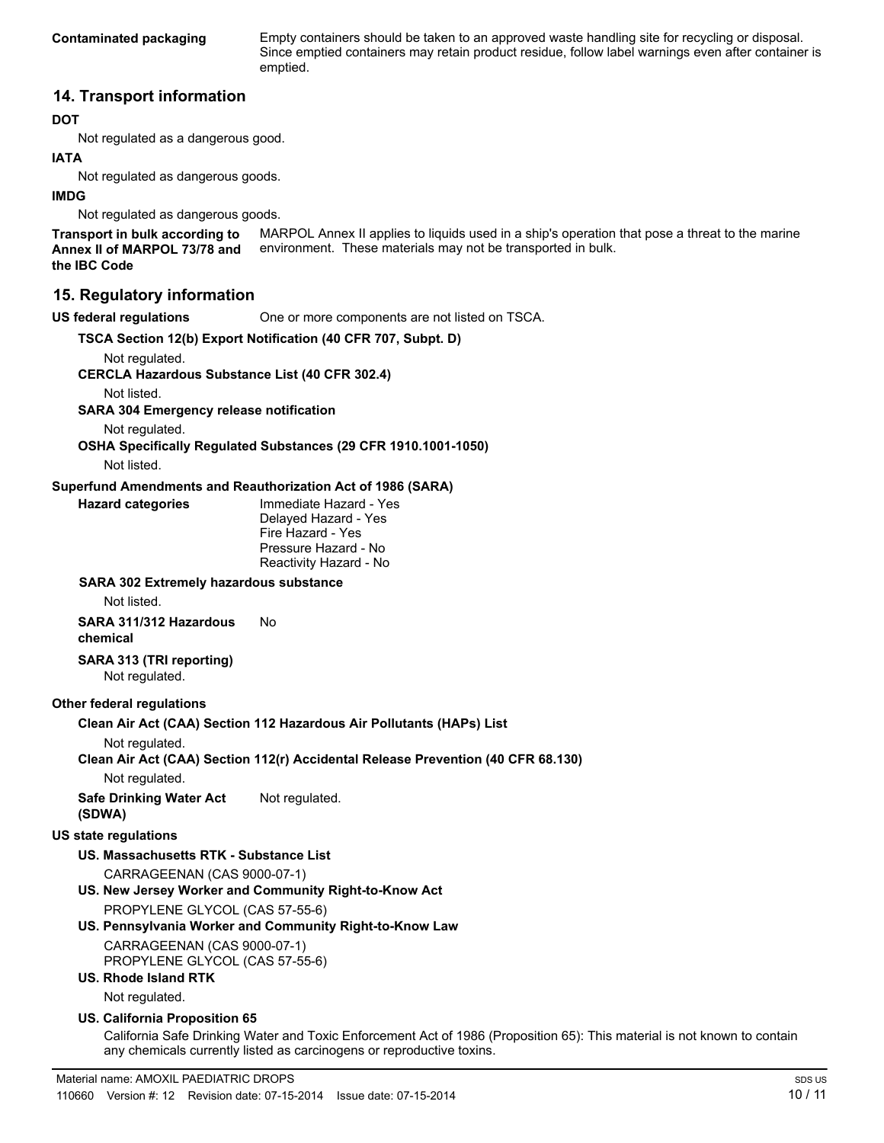**Contaminated packaging** Empty containers should be taken to an approved waste handling site for recycling or disposal. Since emptied containers may retain product residue, follow label warnings even after container is emptied.

## **14. Transport information**

#### **DOT**

Not regulated as a dangerous good.

#### **IATA**

Not regulated as dangerous goods.

#### **IMDG**

Not regulated as dangerous goods.

MARPOL Annex II applies to liquids used in a ship's operation that pose a threat to the marine environment. These materials may not be transported in bulk. **Transport in bulk according to Annex II of MARPOL 73/78 and the IBC Code**

## **15. Regulatory information**

**US federal regulations** One or more components are not listed on TSCA.

**TSCA Section 12(b) Export Notification (40 CFR 707, Subpt. D)**

Not regulated.

**CERCLA Hazardous Substance List (40 CFR 302.4)**

Not listed.

**SARA 304 Emergency release notification**

Not regulated.

**OSHA Specifically Regulated Substances (29 CFR 1910.1001-1050)**

Not listed.

#### **Superfund Amendments and Reauthorization Act of 1986 (SARA)**

| <b>Hazard categories</b> | Immediate Hazard - Yes |
|--------------------------|------------------------|
|                          | Delayed Hazard - Yes   |
|                          | Fire Hazard - Yes      |
|                          | Pressure Hazard - No   |
|                          | Reactivity Hazard - No |

#### **SARA 302 Extremely hazardous substance**

Not listed.

**SARA 311/312 Hazardous chemical** No

**SARA 313 (TRI reporting)** Not regulated.

#### **Other federal regulations**

**Clean Air Act (CAA) Section 112 Hazardous Air Pollutants (HAPs) List**

Not regulated.

**Clean Air Act (CAA) Section 112(r) Accidental Release Prevention (40 CFR 68.130)**

Not regulated.

**Safe Drinking Water Act (SDWA)** Not regulated.

#### **US state regulations**

**US. Massachusetts RTK - Substance List**

CARRAGEENAN (CAS 9000-07-1)

- **US. New Jersey Worker and Community Right-to-Know Act** PROPYLENE GLYCOL (CAS 57-55-6)
- **US. Pennsylvania Worker and Community Right-to-Know Law** CARRAGEENAN (CAS 9000-07-1) PROPYLENE GLYCOL (CAS 57-55-6)

# **US. Rhode Island RTK**

Not regulated.

#### **US. California Proposition 65**

California Safe Drinking Water and Toxic Enforcement Act of 1986 (Proposition 65): This material is not known to contain any chemicals currently listed as carcinogens or reproductive toxins.